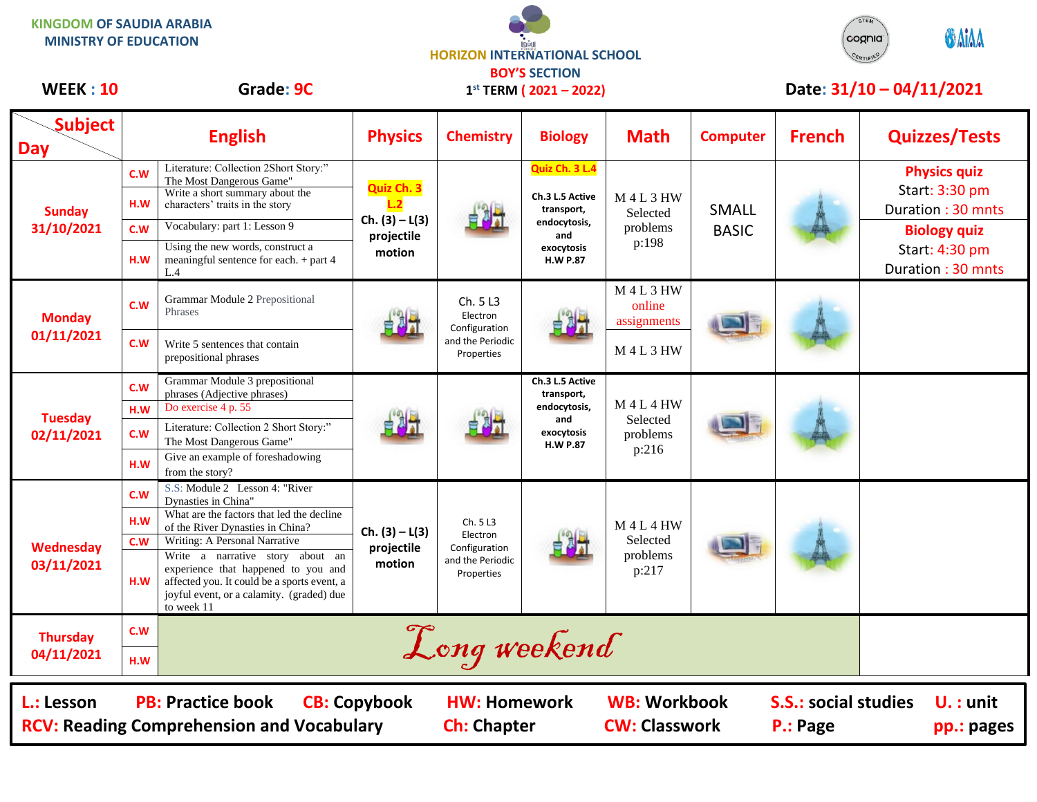STEM **KINGDOM OF SAUDIA ARABIA ONIAA** cognia **MINISTRY OF EDUCATION HORIZON INTERNATIONAL SCHOOL** CERTIFIED **BOY'S SECTION** WEEK : 10 Grade: 9C 1<sup>st</sup> TERM (2021 – 2022) Date: 31/10 – 04/11/2021 **1 st TERM ( 2021 – 2022)** Τ Т **Quiz Ch. 3 L.4 Physics quiz** The Most Dangerous Game"<br>Write a short summary about the **Quiz Ch. 3** Start: 3:30 pm Write a short summary about the

| <b>Subject</b><br><b>Day</b>                                                                                      |                   | <b>English</b>                                                                                                                                                                                                     | <b>Physics</b>                                         | <b>Chemistry</b>                                                        | <b>Biology</b>                                                                                          | <b>Math</b>                                    | <b>Computer</b>                         | <b>French</b>             | <b>Quizzes/Tests</b>                                                              |
|-------------------------------------------------------------------------------------------------------------------|-------------------|--------------------------------------------------------------------------------------------------------------------------------------------------------------------------------------------------------------------|--------------------------------------------------------|-------------------------------------------------------------------------|---------------------------------------------------------------------------------------------------------|------------------------------------------------|-----------------------------------------|---------------------------|-----------------------------------------------------------------------------------|
| <b>Sunday</b><br>31/10/2021                                                                                       | C.W<br>H.W<br>C.W | Literature: Collection 2Short Story:"<br>The Most Dangerous Game"<br>Write a short summary about the<br>characters' traits in the story<br>Vocabulary: part 1: Lesson 9                                            | Quiz Ch. 3<br>$Ch. (3) - L(3)$<br>projectile<br>motion |                                                                         | Quiz Ch. 3 L.4<br>Ch.3 L.5 Active<br>transport,<br>endocytosis,<br>and<br>exocytosis<br><b>H.W P.87</b> | <b>M4L3HW</b><br>Selected<br>problems<br>p:198 | <b>SMALL</b><br><b>BASIC</b>            |                           | <b>Physics quiz</b><br>Start: 3:30 pm<br>Duration: 30 mnts<br><b>Biology quiz</b> |
|                                                                                                                   | H.W               | Using the new words, construct a<br>meaningful sentence for each. + part 4<br>L.4                                                                                                                                  |                                                        |                                                                         |                                                                                                         |                                                |                                         |                           | Start: 4:30 pm<br>Duration: 30 mnts                                               |
| <b>Monday</b><br>01/11/2021                                                                                       | c.w               | Grammar Module 2 Prepositional<br>Phrases                                                                                                                                                                          |                                                        | Ch. 5 L3<br>Electron<br>Configuration<br>and the Periodic<br>Properties |                                                                                                         | <b>M4L3HW</b><br>online<br>assignments         |                                         |                           |                                                                                   |
|                                                                                                                   | C.W               | Write 5 sentences that contain<br>prepositional phrases                                                                                                                                                            |                                                        |                                                                         |                                                                                                         | <b>M4L3HW</b>                                  |                                         |                           |                                                                                   |
| <b>Tuesday</b><br>02/11/2021                                                                                      | C.W<br>H.W        | Grammar Module 3 prepositional<br>phrases (Adjective phrases)<br>Do exercise 4 p. 55                                                                                                                               |                                                        |                                                                         | Ch.3 L.5 Active<br>transport,<br>endocytosis,<br>and<br>exocytosis<br><b>H.W P.87</b>                   | <b>M4L4HW</b><br>Selected<br>problems<br>p:216 |                                         |                           |                                                                                   |
|                                                                                                                   | C.W               | Literature: Collection 2 Short Story:"<br>The Most Dangerous Game"                                                                                                                                                 |                                                        |                                                                         |                                                                                                         |                                                |                                         |                           |                                                                                   |
|                                                                                                                   | H.W<br>C.W        | Give an example of foreshadowing<br>from the story?<br>S.S: Module 2 Lesson 4: "River                                                                                                                              |                                                        |                                                                         |                                                                                                         |                                                |                                         |                           |                                                                                   |
| Wednesday<br>03/11/2021                                                                                           | H.W               | Dynasties in China"<br>What are the factors that led the decline<br>of the River Dynasties in China?                                                                                                               | $Ch. (3) - L(3)$<br>projectile<br>motion               | Ch. 5 L3<br>Electron<br>Configuration<br>and the Periodic<br>Properties |                                                                                                         | <b>M4L4HW</b><br>Selected<br>problems<br>p:217 |                                         |                           |                                                                                   |
|                                                                                                                   | C.W<br>H.W        | Writing: A Personal Narrative<br>Write a narrative story about an<br>experience that happened to you and<br>affected you. It could be a sports event, a<br>joyful event, or a calamity. (graded) due<br>to week 11 |                                                        |                                                                         |                                                                                                         |                                                |                                         |                           |                                                                                   |
| <b>Thursday</b><br>04/11/2021                                                                                     | C.W               |                                                                                                                                                                                                                    |                                                        | Long weekend                                                            |                                                                                                         |                                                |                                         |                           |                                                                                   |
|                                                                                                                   | H.W               |                                                                                                                                                                                                                    |                                                        |                                                                         |                                                                                                         |                                                |                                         |                           |                                                                                   |
| <b>PB: Practice book</b><br><b>CB: Copybook</b><br>L.: Lesson<br><b>RCV: Reading Comprehension and Vocabulary</b> |                   |                                                                                                                                                                                                                    | <b>HW: Homework</b><br><b>Ch: Chapter</b>              |                                                                         | <b>WB: Workbook</b><br><b>CW: Classwork</b>                                                             |                                                | <b>S.S.: social studies</b><br>P.: Page | $U.$ : unit<br>pp.: pages |                                                                                   |